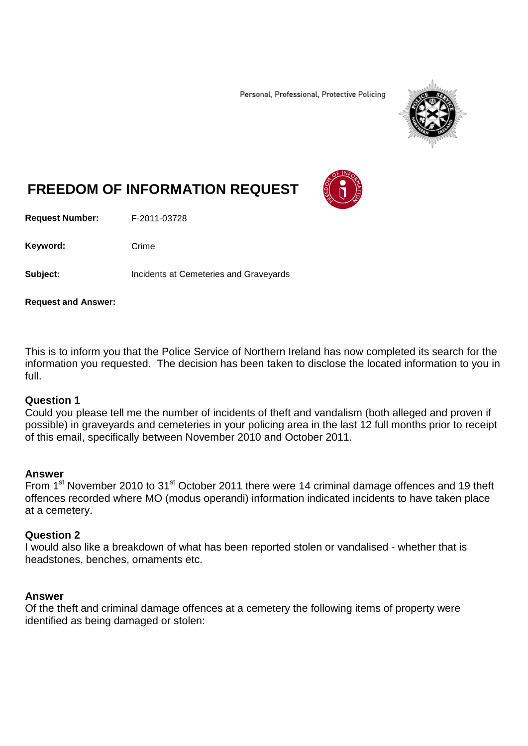Personal, Professional, Protective Policing



# **FREEDOM OF INFORMATION REQUEST**

**Request Number:** F-2011-03728

Keyword: Crime

**Subject:** Incidents at Cemeteries and Graveyards

**Request and Answer:**

This is to inform you that the Police Service of Northern Ireland has now completed its search for the information you requested. The decision has been taken to disclose the located information to you in full.

## **Question 1**

Could you please tell me the number of incidents of theft and vandalism (both alleged and proven if possible) in graveyards and cemeteries in your policing area in the last 12 full months prior to receipt of this email, specifically between November 2010 and October 2011.

### **Answer**

From 1<sup>st</sup> November 2010 to 31<sup>st</sup> October 2011 there were 14 criminal damage offences and 19 theft offences recorded where MO (modus operandi) information indicated incidents to have taken place at a cemetery.

### **Question 2**

I would also like a breakdown of what has been reported stolen or vandalised - whether that is headstones, benches, ornaments etc.

### **Answer**

Of the theft and criminal damage offences at a cemetery the following items of property were identified as being damaged or stolen: